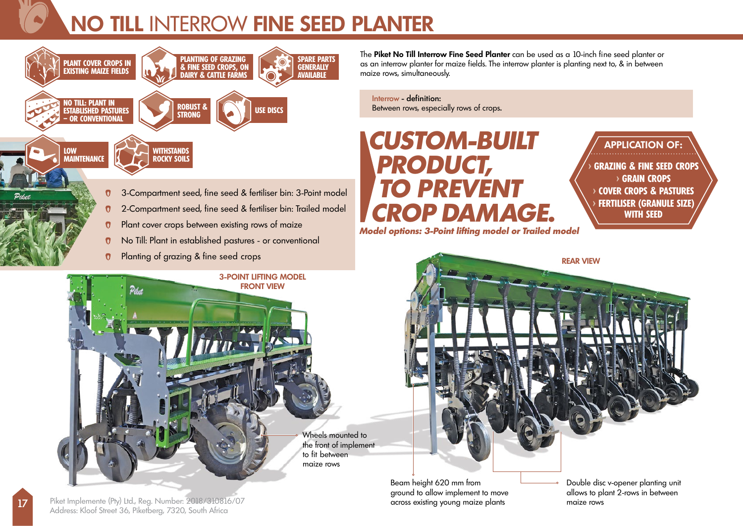## **NO TILL** INTERROW **FINE SEED PLANTER**



 $\boldsymbol{0}$ 

The **Piket No Till Interrow Fine Seed Planter** can be used as a 10-inch fine seed planter or as an interrow planter for maize fields. The interrow planter is planting next to, & in between maize rows, simultaneously.

Interrow - definition: Between rows, especially rows of crops.

## **CUSTOM-BUILT PRODUCT, TO PREVENT CROP DAMAGE.**

**Model options: 3-Point lifting model or Trailed model**

**> GRAZING & FINE SEED CROPS > GRAIN CROPS > COVER CROPS & PASTURES > FERTILISER (GRANULE SIZE) WITH SEED APPLICATION OF:**





17 Piket Implemente (Pty) Ltd., Reg. Number: 2018/310816/07 Address: Kloof Street 36, Piketberg, 7320, South Africa